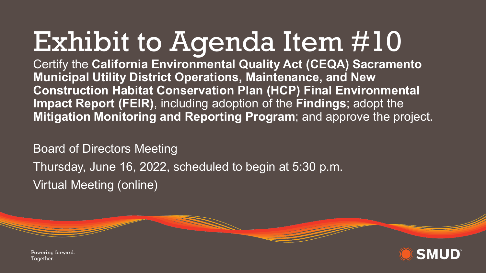# Exhibit to Agenda Item #10

Certify the **California Environmental Quality Act (CEQA) Sacramento Municipal Utility District Operations, Maintenance, and New Construction Habitat Conservation Plan (HCP) Final Environmental Impact Report (FEIR)**, including adoption of the **Findings**; adopt the **Mitigation Monitoring and Reporting Program**; and approve the project.

Board of Directors Meeting

Thursday, June 16, 2022, scheduled to begin at 5:30 p.m.

Virtual Meeting (online)



Powering forward. Together.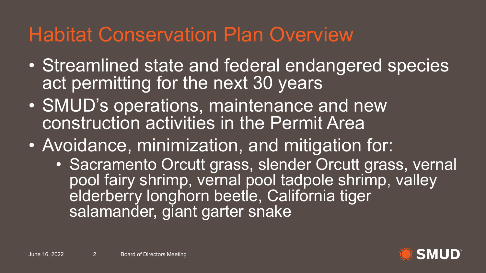## Habitat Conservation Plan Overview

- Streamlined state and federal endangered species act permitting for the next 30 years
- SMUD's operations, maintenance and new construction activities in the Permit Area
- Avoidance, minimization, and mitigation for:
	- Sacramento Orcutt grass, slender Orcutt grass, vernal pool fairy shrimp, vernal pool tadpole shrimp, valley elderberry longhorn beetle, California tiger salamander, giant garter snake

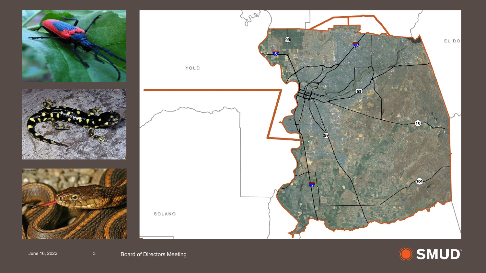



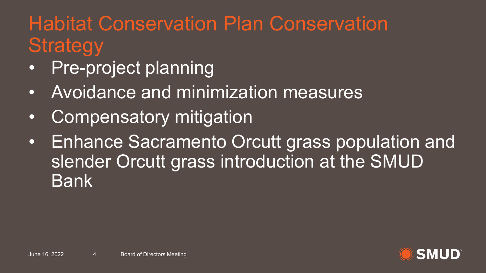# Habitat Conservation Plan Conservation **Strategy**

- Pre-project planning
- Avoidance and minimization measures
- Compensatory mitigation
- Enhance Sacramento Orcutt grass population and slender Orcutt grass introduction at the SMUD Bank

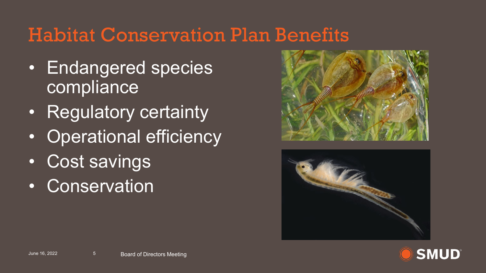#### Habitat Conservation Plan Benefits

- Endangered species compliance
- Regulatory certainty
- Operational efficiency
- Cost savings
- Conservation





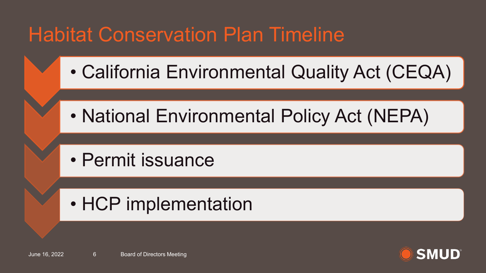# **Habitat Conservation Plan Timeline**

- California Environmental Quality Act (CEQA)
- National Environmental Policy Act (NEPA)
- Permit issuance

#### • HCP implementation

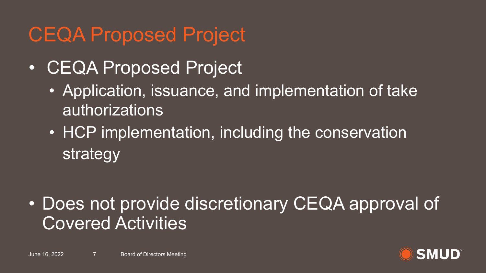## CEQA Proposed Project

- CEQA Proposed Project
	- Application, issuance, and implementation of take authorizations
	- HCP implementation, including the conservation strategy

• Does not provide discretionary CEQA approval of Covered Activities

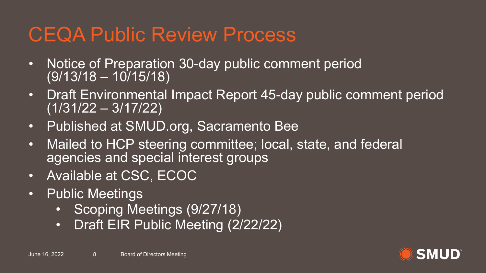## CEQA Public Review Process

- Notice of Preparation 30-day public comment period (9/13/18 – 10/15/18)
- Draft Environmental Impact Report 45-day public comment period (1/31/22 – 3/17/22)
- Published at SMUD.org, Sacramento Bee
- Mailed to HCP steering committee; local, state, and federal agencies and special interest groups
- Available at CSC, ECOC
- Public Meetings
	- Scoping Meetings (9/27/18)
	- Draft EIR Public Meeting (2/22/22)

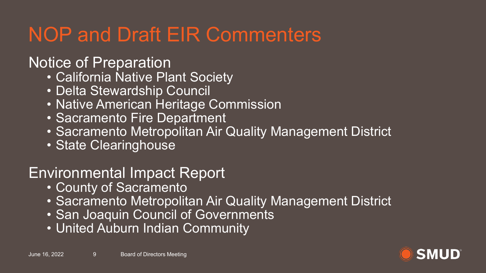# NOP and Draft EIR Commenters

#### Notice of Preparation

- California Native Plant Society
- Delta Stewardship Council
- Native American Heritage Commission
- Sacramento Fire Department
- Sacramento Metropolitan Air Quality Management District
- State Clearinghouse

#### Environmental Impact Report

- County of Sacramento
- Sacramento Metropolitan Air Quality Management District
- San Joaquin Council of Governments
- United Auburn Indian Community



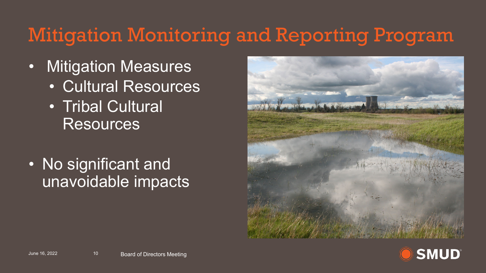# Mitigation Monitoring and Reporting Program

- Mitigation Measures
	- Cultural Resources
	- Tribal Cultural **Resources**
- No significant and unavoidable impacts